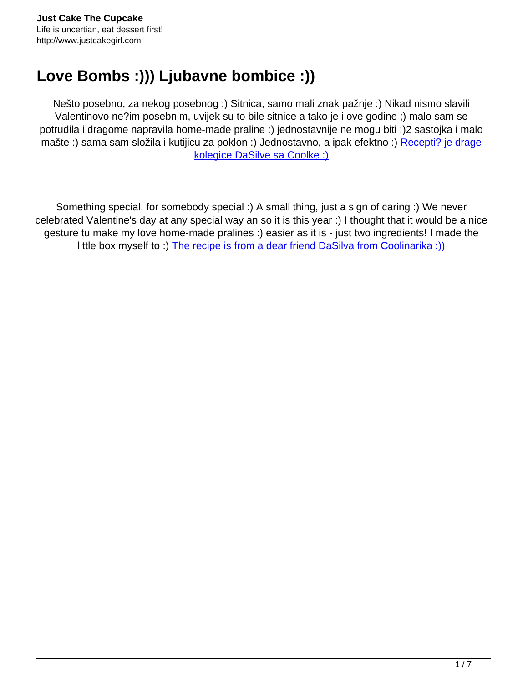## **Love Bombs :))) Ljubavne bombice :))**

Nešto posebno, za nekog posebnog :) Sitnica, samo mali znak pažnje :) Nikad nismo slavili Valentinovo ne?im posebnim, uvijek su to bile sitnice a tako je i ove godine ;) malo sam se potrudila i dragome napravila home-made praline :) jednostavnije ne mogu biti :)2 sastojka i malo mašte :) sama sam složila i kutijicu za poklon :) Jednostavno, a ipak efektno :) [Recepti? je drage](http://www.coolinarika.com/recept/oreo-truffles/) [kolegice DaSilve sa Coolke :\)](http://www.coolinarika.com/recept/oreo-truffles/)

Something special, for somebody special :) A small thing, just a sign of caring :) We never celebrated Valentine's day at any special way an so it is this year :) I thought that it would be a nice gesture tu make my love home-made pralines :) easier as it is - just two ingredients! I made the little box myself to :) [The recipe is from a dear friend DaSilva from Coolinarika :\)\)](http://www.coolinarika.com/recept/oreo-truffles/)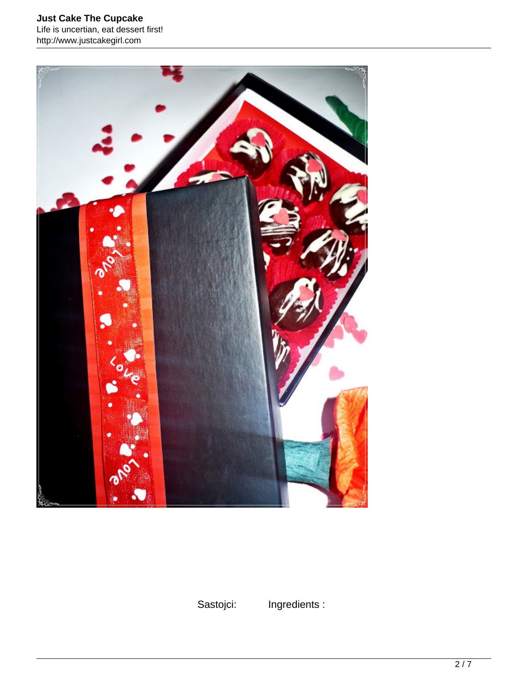## **Just Cake The Cupcake** Life is uncertian, eat dessert first! http://www.justcakegirl.com



Sastojci: Ingredients :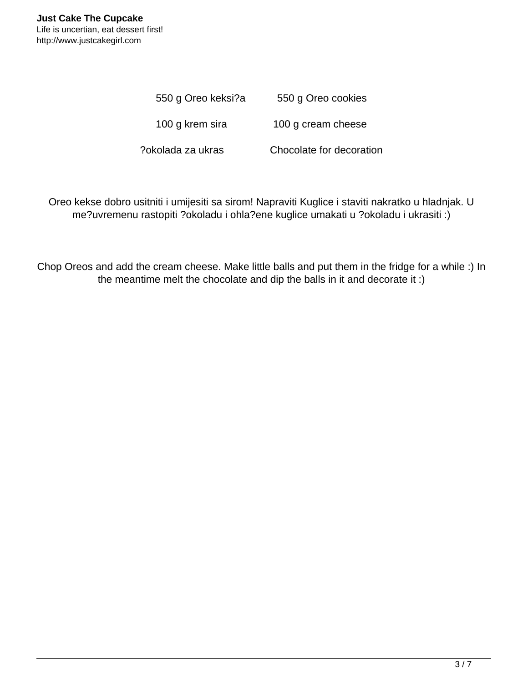| 550 g Oreo keksi?a | 550 g Oreo cookies       |
|--------------------|--------------------------|
| 100 g krem sira    | 100 g cream cheese       |
| ?okolada za ukras  | Chocolate for decoration |

Oreo kekse dobro usitniti i umijesiti sa sirom! Napraviti Kuglice i staviti nakratko u hladnjak. U me?uvremenu rastopiti ?okoladu i ohla?ene kuglice umakati u ?okoladu i ukrasiti :)

Chop Oreos and add the cream cheese. Make little balls and put them in the fridge for a while :) In the meantime melt the chocolate and dip the balls in it and decorate it :)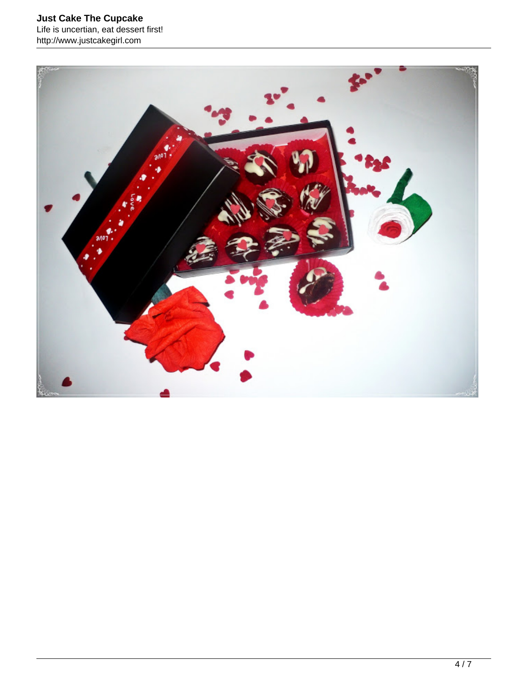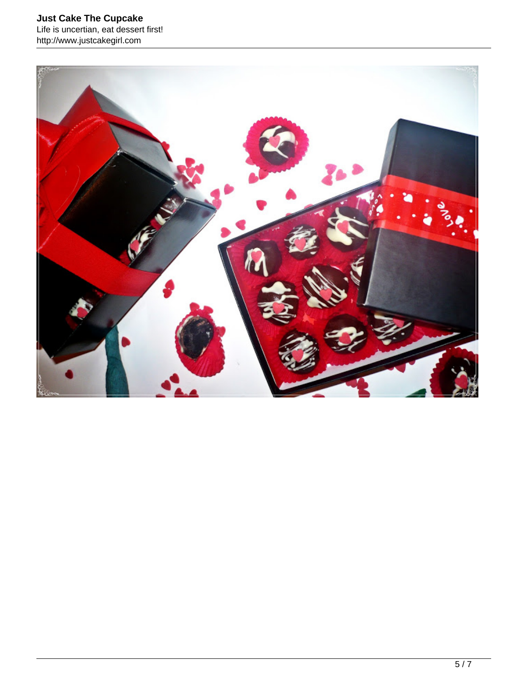## **Just Cake The Cupcake** Life is uncertian, eat dessert first! http://www.justcakegirl.com

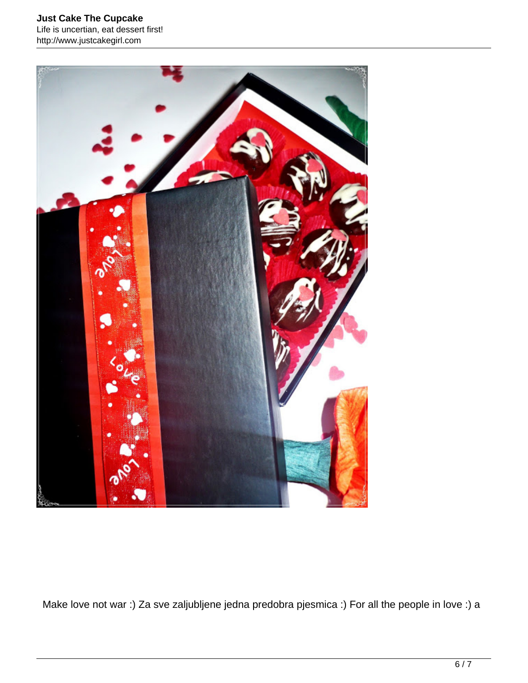## **Just Cake The Cupcake** Life is uncertian, eat dessert first! http://www.justcakegirl.com



Make love not war :) Za sve zaljubljene jedna predobra pjesmica :) For all the people in love :) a